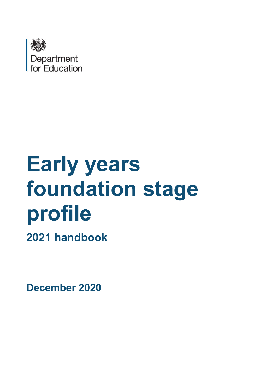

# **Early years foundation stage profile**

**2021 handbook**

**December 2020**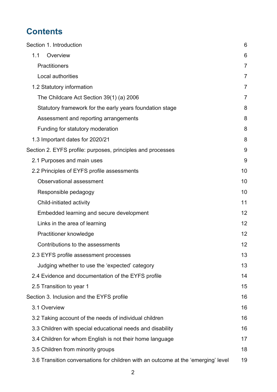# **Contents**

| Section 1. Introduction                                                           | 6              |
|-----------------------------------------------------------------------------------|----------------|
| Overview<br>1.1                                                                   | 6              |
| <b>Practitioners</b>                                                              | 7              |
| Local authorities                                                                 | 7              |
| 1.2 Statutory information                                                         | $\overline{7}$ |
| The Childcare Act Section 39(1) (a) 2006                                          | $\overline{7}$ |
| Statutory framework for the early years foundation stage                          | 8              |
| Assessment and reporting arrangements                                             | 8              |
| Funding for statutory moderation                                                  | 8              |
| 1.3 Important dates for 2020/21                                                   | 8              |
| Section 2. EYFS profile: purposes, principles and processes                       | 9              |
| 2.1 Purposes and main uses                                                        | 9              |
| 2.2 Principles of EYFS profile assessments                                        | 10             |
| <b>Observational assessment</b>                                                   | 10             |
| Responsible pedagogy                                                              | 10             |
| Child-initiated activity                                                          | 11             |
| Embedded learning and secure development                                          | 12             |
| Links in the area of learning                                                     | 12             |
| Practitioner knowledge                                                            | 12             |
| Contributions to the assessments                                                  | 12             |
| 2.3 EYFS profile assessment processes                                             | 13             |
| Judging whether to use the 'expected' category                                    | 13             |
| 2.4 Evidence and documentation of the EYFS profile                                | 14             |
| 2.5 Transition to year 1                                                          | 15             |
| Section 3. Inclusion and the EYFS profile                                         | 16             |
| 3.1 Overview                                                                      | 16             |
| 3.2 Taking account of the needs of individual children                            | 16             |
| 3.3 Children with special educational needs and disability                        | 16             |
| 3.4 Children for whom English is not their home language                          | 17             |
| 3.5 Children from minority groups                                                 | 18             |
| 3.6 Transition conversations for children with an outcome at the 'emerging' level | 19             |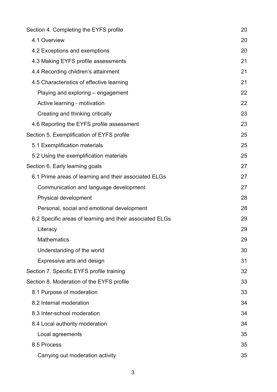| Section 4. Completing the EYFS profile                   | 20 |
|----------------------------------------------------------|----|
| 4.1 Overview                                             | 20 |
| 4.2 Exceptions and exemptions                            | 20 |
| 4.3 Making EYFS profile assessments                      | 21 |
| 4.4 Recording children's attainment                      | 21 |
| 4.5 Characteristics of effective learning                | 21 |
| Playing and exploring – engagement                       | 22 |
| Active learning - motivation                             | 22 |
| Creating and thinking critically                         | 23 |
| 4.6 Reporting the EYFS profile assessment                | 23 |
| Section 5. Exemplification of EYFS profile               | 25 |
| 5.1 Exemplification materials                            | 25 |
| 5.2 Using the exemplification materials                  | 25 |
| Section 6. Early learning goals                          | 27 |
| 6.1 Prime areas of learning and their associated ELGs    | 27 |
| Communication and language development                   | 27 |
| Physical development                                     | 28 |
| Personal, social and emotional development               | 28 |
| 6.2 Specific areas of learning and their associated ELGs | 29 |
| Literacy                                                 | 29 |
| <b>Mathematics</b>                                       | 29 |
| Understanding of the world                               | 30 |
| Expressive arts and design                               | 31 |
| Section 7. Specific EYFS profile training                | 32 |
| Section 8. Moderation of the EYFS profile                | 33 |
| 8.1 Purpose of moderation                                | 33 |
| 8.2 Internal moderation                                  | 34 |
| 8.3 Inter-school moderation                              | 34 |
| 8.4 Local authority moderation                           | 34 |
| Local agreements                                         | 35 |
| 8.5 Process                                              | 35 |
| Carrying out moderation activity                         | 35 |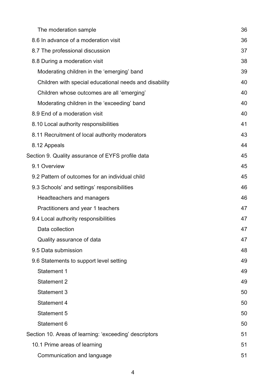| The moderation sample                                  | 36 |
|--------------------------------------------------------|----|
| 8.6 In advance of a moderation visit                   | 36 |
| 8.7 The professional discussion                        | 37 |
| 8.8 During a moderation visit                          | 38 |
| Moderating children in the 'emerging' band             | 39 |
| Children with special educational needs and disability | 40 |
| Children whose outcomes are all 'emerging'             | 40 |
| Moderating children in the 'exceeding' band            | 40 |
| 8.9 End of a moderation visit                          | 40 |
| 8.10 Local authority responsibilities                  | 41 |
| 8.11 Recruitment of local authority moderators         | 43 |
| 8.12 Appeals                                           | 44 |
| Section 9. Quality assurance of EYFS profile data      | 45 |
| 9.1 Overview                                           | 45 |
| 9.2 Pattern of outcomes for an individual child        | 45 |
| 9.3 Schools' and settings' responsibilities            | 46 |
| Headteachers and managers                              | 46 |
| Practitioners and year 1 teachers                      | 47 |
| 9.4 Local authority responsibilities                   | 47 |
| Data collection                                        | 47 |
| Quality assurance of data                              | 47 |
| 9.5 Data submission                                    | 48 |
| 9.6 Statements to support level setting                | 49 |
| Statement 1                                            | 49 |
| <b>Statement 2</b>                                     | 49 |
| Statement 3                                            | 50 |
| <b>Statement 4</b>                                     | 50 |
| <b>Statement 5</b>                                     | 50 |
| Statement 6                                            | 50 |
| Section 10. Areas of learning: 'exceeding' descriptors | 51 |
| 10.1 Prime areas of learning                           | 51 |
| Communication and language                             | 51 |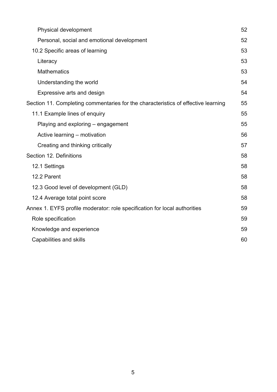| Physical development                                                              | 52 |
|-----------------------------------------------------------------------------------|----|
| Personal, social and emotional development                                        | 52 |
| 10.2 Specific areas of learning                                                   | 53 |
| Literacy                                                                          | 53 |
| <b>Mathematics</b>                                                                | 53 |
| Understanding the world                                                           | 54 |
| Expressive arts and design                                                        | 54 |
| Section 11. Completing commentaries for the characteristics of effective learning | 55 |
| 11.1 Example lines of enquiry                                                     | 55 |
| Playing and exploring – engagement                                                | 55 |
| Active learning – motivation                                                      | 56 |
| Creating and thinking critically                                                  | 57 |
| Section 12. Definitions                                                           | 58 |
| 12.1 Settings                                                                     | 58 |
| 12.2 Parent                                                                       | 58 |
| 12.3 Good level of development (GLD)                                              | 58 |
| 12.4 Average total point score                                                    | 58 |
| Annex 1. EYFS profile moderator: role specification for local authorities         | 59 |
| Role specification                                                                | 59 |
| Knowledge and experience                                                          | 59 |
| Capabilities and skills                                                           | 60 |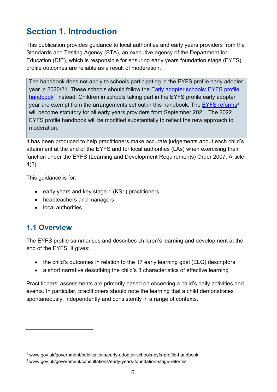# **Section 1. Introduction**

This publication provides guidance to local authorities and early years providers from the Standards and Testing Agency (STA), an executive agency of the Department for Education (DfE), which is responsible for ensuring early years foundation stage (EYFS) profile outcomes are reliable as a result of moderation.

The handbook does not apply to schools participating in the EYFS profile early adopter year in 2020/21. These schools should follow the Early adopter schools: EYFS profile handbook<sup>1</sup> instead. Children in schools taking part in the EYFS profile early adopter year are exempt from the arrangements set out in this handbook. The EYFS reforms<sup>2</sup> will become statutory for all early years providers from September 2021. The 2022 EYFS profile handbook will be modified substantially to reflect the new approach to moderation.

It has been produced to help practitioners make accurate judgements about each child's attainment at the end of the EYFS and for local authorities (LAs) when exercising their function under the EYFS (Learning and Development Requirements) Order 2007, Article 4(2).

This guidance is for:

- early years and key stage 1 (KS1) practitioners
- headteachers and managers
- local authorities

## **1.1 Overview**

The EYFS profile summarises and describes children's learning and development at the end of the EYFS. It gives:

- the child's outcomes in relation to the 17 early learning goal (ELG) descriptors
- a short narrative describing the child's 3 characteristics of effective learning

Practitioners' assessments are primarily based on observing a child's daily activities and events. In particular, practitioners should note the learning that a child demonstrates spontaneously, independently and consistently in a range of contexts.

<sup>1</sup> www.gov.uk/government/publications/early-adopter-schools-eyfs-profile-handbook

<sup>2</sup> www.gov.uk/government/consultations/early-years-foundation-stage-reforms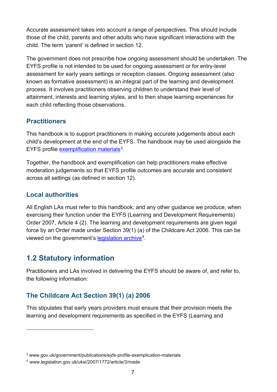Accurate assessment takes into account a range of perspectives. This should include those of the child, parents and other adults who have significant interactions with the child. The term 'parent' is defined in section 12.

The government does not prescribe how ongoing assessment should be undertaken. The EYFS profile is not intended to be used for ongoing assessment or for entry-level assessment for early years settings or reception classes. Ongoing assessment (also known as formative assessment) is an integral part of the learning and development process. It involves practitioners observing children to understand their level of attainment, interests and learning styles, and to then shape learning experiences for each child reflecting those observations.

#### **Practitioners**

This handbook is to support practitioners in making accurate judgements about each child's development at the end of the EYFS. The handbook may be used alongside the EYFS profile exemplification materials<sup>3</sup>.

Together, the handbook and exemplification can help practitioners make effective moderation judgements so that EYFS profile outcomes are accurate and consistent across all settings (as defined in section 12).

#### **Local authorities**

All English LAs must refer to this handbook, and any other guidance we produce, when exercising their function under the EYFS (Learning and Development Requirements) Order 2007, Article 4 (2). The learning and development requirements are given legal force by an Order made under Section 39(1) (a) of the Childcare Act 2006. This can be viewed on the government's legislation archive<sup>4</sup>.

## **1.2 Statutory information**

Practitioners and LAs involved in delivering the EYFS should be aware of, and refer to, the following information:

#### **The Childcare Act Section 39(1) (a) 2006**

This stipulates that early years providers must ensure that their provision meets the learning and development requirements as specified in the EYFS (Learning and

<sup>3</sup> www.gov.uk/government/publications/eyfs-profile-exemplication-materials

<sup>4</sup> www.legislation.gov.uk/uksi/2007/1772/article/3/made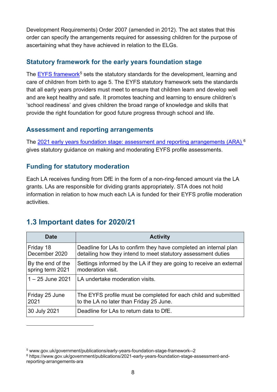Development Requirements) Order 2007 (amended in 2012). The act states that this order can specify the arrangements required for assessing children for the purpose of ascertaining what they have achieved in relation to the ELGs.

#### **Statutory framework for the early years foundation stage**

The EYFS framework<sup>5</sup> sets the statutory standards for the development, learning and care of children from birth to age 5. The EYFS statutory framework sets the standards that all early years providers must meet to ensure that children learn and develop well and are kept healthy and safe. It promotes teaching and learning to ensure children's 'school readiness' and gives children the broad range of knowledge and skills that provide the right foundation for good future progress through school and life.

#### **Assessment and reporting arrangements**

The 2021 early years foundation stage: assessment and reporting arrangements (ARA) <sup>6</sup> gives statutory guidance on making and moderating EYFS profile assessments.

#### **Funding for statutory moderation**

Each LA receives funding from DfE in the form of a non-ring-fenced amount via the LA grants. LAs are responsible for dividing grants appropriately. STA does not hold information in relation to how much each LA is funded for their EYFS profile moderation activities.

## **1.3 Important dates for 2020/21**

| <b>Date</b>        | <b>Activity</b>                                                      |
|--------------------|----------------------------------------------------------------------|
| Friday 18          | Deadline for LAs to confirm they have completed an internal plan     |
| December 2020      | detailing how they intend to meet statutory assessment duties        |
| By the end of the  | Settings informed by the LA if they are going to receive an external |
| spring term 2021   | moderation visit.                                                    |
| $1 - 25$ June 2021 | LA undertake moderation visits.                                      |
| Friday 25 June     | The EYFS profile must be completed for each child and submitted      |
| 2021               | to the LA no later than Friday 25 June.                              |
| 30 July 2021       | Deadline for LAs to return data to DfE.                              |

<sup>5</sup> www.gov.uk/government/publications/early-years-foundation-stage-framework--2

<sup>6</sup> https://www.gov.uk/government/publications/2021-early-years-foundation-stage-assessment-andreporting-arrangements-ara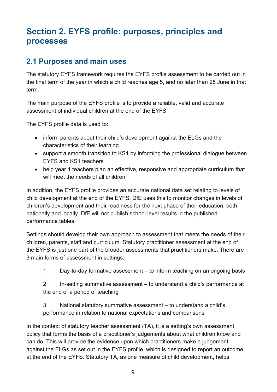# **Section 2. EYFS profile: purposes, principles and processes**

## **2.1 Purposes and main uses**

The statutory EYFS framework requires the EYFS profile assessment to be carried out in the final term of the year in which a child reaches age 5, and no later than 25 June in that term.

The main purpose of the EYFS profile is to provide a reliable, valid and accurate assessment of individual children at the end of the EYFS.

The EYFS profile data is used to:

- inform parents about their child's development against the ELGs and the characteristics of their learning
- support a smooth transition to KS1 by informing the professional dialogue between EYFS and KS1 teachers
- help year 1 teachers plan an effective, responsive and appropriate curriculum that will meet the needs of all children

In addition, the EYFS profile provides an accurate national data set relating to levels of child development at the end of the EYFS. DfE uses this to monitor changes in levels of children's development and their readiness for the next phase of their education, both nationally and locally. DfE will not publish school level results in the published performance tables.

Settings should develop their own approach to assessment that meets the needs of their children, parents, staff and curriculum. Statutory practitioner assessment at the end of the EYFS is just one part of the broader assessments that practitioners make. There are 3 main forms of assessment in settings:

1. Day-to-day formative assessment – to inform teaching on an ongoing basis

2. In-setting summative assessment – to understand a child's performance at the end of a period of teaching

3. National statutory summative assessment – to understand a child's performance in relation to national expectations and comparisons

In the context of statutory teacher assessment (TA), it is a setting's own assessment policy that forms the basis of a practitioner's judgements about what children know and can do. This will provide the evidence upon which practitioners make a judgement against the ELGs as set out in the EYFS profile, which is designed to report an outcome at the end of the EYFS. Statutory TA, as one measure of child development, helps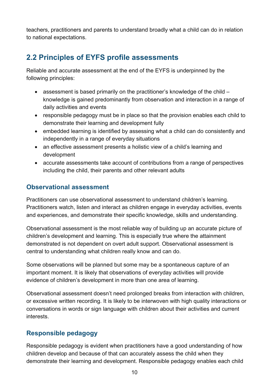teachers, practitioners and parents to understand broadly what a child can do in relation to national expectations.

## **2.2 Principles of EYFS profile assessments**

Reliable and accurate assessment at the end of the EYFS is underpinned by the following principles:

- assessment is based primarily on the practitioner's knowledge of the child knowledge is gained predominantly from observation and interaction in a range of daily activities and events
- responsible pedagogy must be in place so that the provision enables each child to demonstrate their learning and development fully
- embedded learning is identified by assessing what a child can do consistently and independently in a range of everyday situations
- an effective assessment presents a holistic view of a child's learning and development
- accurate assessments take account of contributions from a range of perspectives including the child, their parents and other relevant adults

#### **Observational assessment**

Practitioners can use observational assessment to understand children's learning. Practitioners watch, listen and interact as children engage in everyday activities, events and experiences, and demonstrate their specific knowledge, skills and understanding.

Observational assessment is the most reliable way of building up an accurate picture of children's development and learning. This is especially true where the attainment demonstrated is not dependent on overt adult support. Observational assessment is central to understanding what children really know and can do.

Some observations will be planned but some may be a spontaneous capture of an important moment. It is likely that observations of everyday activities will provide evidence of children's development in more than one area of learning.

Observational assessment doesn't need prolonged breaks from interaction with children, or excessive written recording. It is likely to be interwoven with high quality interactions or conversations in words or sign language with children about their activities and current interests.

#### **Responsible pedagogy**

Responsible pedagogy is evident when practitioners have a good understanding of how children develop and because of that can accurately assess the child when they demonstrate their learning and development. Responsible pedagogy enables each child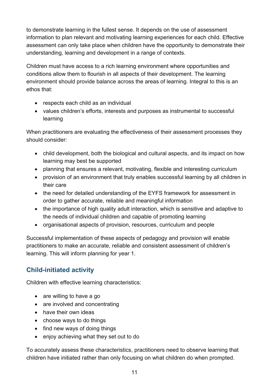to demonstrate learning in the fullest sense. It depends on the use of assessment information to plan relevant and motivating learning experiences for each child. Effective assessment can only take place when children have the opportunity to demonstrate their understanding, learning and development in a range of contexts.

Children must have access to a rich learning environment where opportunities and conditions allow them to flourish in all aspects of their development. The learning environment should provide balance across the areas of learning. Integral to this is an ethos that:

- respects each child as an individual
- values children's efforts, interests and purposes as instrumental to successful learning

When practitioners are evaluating the effectiveness of their assessment processes they should consider:

- child development, both the biological and cultural aspects, and its impact on how learning may best be supported
- planning that ensures a relevant, motivating, flexible and interesting curriculum
- provision of an environment that truly enables successful learning by all children in their care
- the need for detailed understanding of the EYFS framework for assessment in order to gather accurate, reliable and meaningful information
- the importance of high quality adult interaction, which is sensitive and adaptive to the needs of individual children and capable of promoting learning
- organisational aspects of provision, resources, curriculum and people

Successful implementation of these aspects of pedagogy and provision will enable practitioners to make an accurate, reliable and consistent assessment of children's learning. This will inform planning for year 1.

#### **Child-initiated activity**

Children with effective learning characteristics:

- are willing to have a go
- are involved and concentrating
- have their own ideas
- choose ways to do things
- find new ways of doing things
- enjoy achieving what they set out to do

To accurately assess these characteristics, practitioners need to observe learning that children have initiated rather than only focusing on what children do when prompted.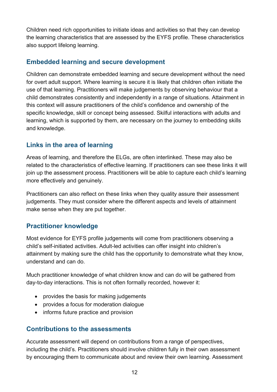Children need rich opportunities to initiate ideas and activities so that they can develop the learning characteristics that are assessed by the EYFS profile. These characteristics also support lifelong learning.

#### **Embedded learning and secure development**

Children can demonstrate embedded learning and secure development without the need for overt adult support. Where learning is secure it is likely that children often initiate the use of that learning. Practitioners will make judgements by observing behaviour that a child demonstrates consistently and independently in a range of situations. Attainment in this context will assure practitioners of the child's confidence and ownership of the specific knowledge, skill or concept being assessed. Skilful interactions with adults and learning, which is supported by them, are necessary on the journey to embedding skills and knowledge.

#### **Links in the area of learning**

Areas of learning, and therefore the ELGs, are often interlinked. These may also be related to the characteristics of effective learning. If practitioners can see these links it will join up the assessment process. Practitioners will be able to capture each child's learning more effectively and genuinely.

Practitioners can also reflect on these links when they quality assure their assessment judgements. They must consider where the different aspects and levels of attainment make sense when they are put together.

#### **Practitioner knowledge**

Most evidence for EYFS profile judgements will come from practitioners observing a child's self-initiated activities. Adult-led activities can offer insight into children's attainment by making sure the child has the opportunity to demonstrate what they know, understand and can do.

Much practitioner knowledge of what children know and can do will be gathered from day-to-day interactions. This is not often formally recorded, however it:

- provides the basis for making judgements
- provides a focus for moderation dialogue
- informs future practice and provision

#### **Contributions to the assessments**

Accurate assessment will depend on contributions from a range of perspectives, including the child's. Practitioners should involve children fully in their own assessment by encouraging them to communicate about and review their own learning. Assessment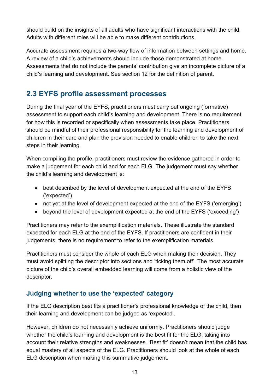should build on the insights of all adults who have significant interactions with the child. Adults with different roles will be able to make different contributions.

Accurate assessment requires a two-way flow of information between settings and home. A review of a child's achievements should include those demonstrated at home. Assessments that do not include the parents' contribution give an incomplete picture of a child's learning and development. See section 12 for the definition of parent.

## **2.3 EYFS profile assessment processes**

During the final year of the EYFS, practitioners must carry out ongoing (formative) assessment to support each child's learning and development. There is no requirement for how this is recorded or specifically when assessments take place. Practitioners should be mindful of their professional responsibility for the learning and development of children in their care and plan the provision needed to enable children to take the next steps in their learning.

When compiling the profile, practitioners must review the evidence gathered in order to make a judgement for each child and for each ELG. The judgement must say whether the child's learning and development is:

- best described by the level of development expected at the end of the EYFS ('expected')
- not yet at the level of development expected at the end of the EYFS ('emerging')
- beyond the level of development expected at the end of the EYFS ('exceeding')

Practitioners may refer to the exemplification materials. These illustrate the standard expected for each ELG at the end of the EYFS. If practitioners are confident in their judgements, there is no requirement to refer to the exemplification materials.

Practitioners must consider the whole of each ELG when making their decision. They must avoid splitting the descriptor into sections and 'ticking them off'. The most accurate picture of the child's overall embedded learning will come from a holistic view of the descriptor.

#### **Judging whether to use the 'expected' category**

If the ELG description best fits a practitioner's professional knowledge of the child, then their learning and development can be judged as 'expected'.

However, children do not necessarily achieve uniformly. Practitioners should judge whether the child's learning and development is the best fit for the ELG, taking into account their relative strengths and weaknesses. 'Best fit' doesn't mean that the child has equal mastery of all aspects of the ELG. Practitioners should look at the whole of each ELG description when making this summative judgement.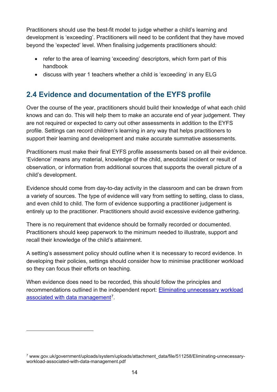Practitioners should use the best-fit model to judge whether a child's learning and development is 'exceeding'. Practitioners will need to be confident that they have moved beyond the 'expected' level. When finalising judgements practitioners should:

- refer to the area of learning 'exceeding' descriptors, which form part of this handbook
- discuss with year 1 teachers whether a child is 'exceeding' in any ELG

## **2.4 Evidence and documentation of the EYFS profile**

Over the course of the year, practitioners should build their knowledge of what each child knows and can do. This will help them to make an accurate end of year judgement. They are not required or expected to carry out other assessments in addition to the EYFS profile. Settings can record children's learning in any way that helps practitioners to support their learning and development and make accurate summative assessments.

Practitioners must make their final EYFS profile assessments based on all their evidence. 'Evidence' means any material, knowledge of the child, anecdotal incident or result of observation, or information from additional sources that supports the overall picture of a child's development.

Evidence should come from day-to-day activity in the classroom and can be drawn from a variety of sources. The type of evidence will vary from setting to setting, class to class, and even child to child. The form of evidence supporting a practitioner judgement is entirely up to the practitioner. Practitioners should avoid excessive evidence gathering.

There is no requirement that evidence should be formally recorded or documented. Practitioners should keep paperwork to the minimum needed to illustrate, support and recall their knowledge of the child's attainment.

A setting's assessment policy should outline when it is necessary to record evidence. In developing their policies, settings should consider how to minimise practitioner workload so they can focus their efforts on teaching.

When evidence does need to be recorded, this should follow the principles and recommendations outlined in the independent report: Eliminating unnecessary workload associated with data management<sup>7</sup>.

<sup>7</sup> www.gov.uk/government/uploads/system/uploads/attachment\_data/file/511258/Eliminating-unnecessaryworkload-associated-with-data-management.pdf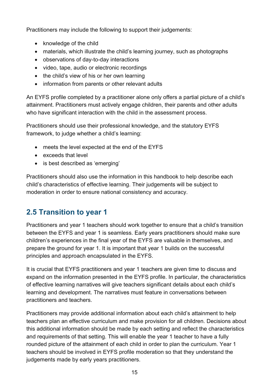Practitioners may include the following to support their judgements:

- knowledge of the child
- materials, which illustrate the child's learning journey, such as photographs
- observations of day-to-day interactions
- video, tape, audio or electronic recordings
- the child's view of his or her own learning
- information from parents or other relevant adults

An EYFS profile completed by a practitioner alone only offers a partial picture of a child's attainment. Practitioners must actively engage children, their parents and other adults who have significant interaction with the child in the assessment process.

Practitioners should use their professional knowledge, and the statutory EYFS framework, to judge whether a child's learning:

- meets the level expected at the end of the EYFS
- exceeds that level
- is best described as 'emerging'

Practitioners should also use the information in this handbook to help describe each child's characteristics of effective learning. Their judgements will be subject to moderation in order to ensure national consistency and accuracy.

## **2.5 Transition to year 1**

Practitioners and year 1 teachers should work together to ensure that a child's transition between the EYFS and year 1 is seamless. Early years practitioners should make sure children's experiences in the final year of the EYFS are valuable in themselves, and prepare the ground for year 1. It is important that year 1 builds on the successful principles and approach encapsulated in the EYFS.

It is crucial that EYFS practitioners and year 1 teachers are given time to discuss and expand on the information presented in the EYFS profile. In particular, the characteristics of effective learning narratives will give teachers significant details about each child's learning and development. The narratives must feature in conversations between practitioners and teachers.

Practitioners may provide additional information about each child's attainment to help teachers plan an effective curriculum and make provision for all children. Decisions about this additional information should be made by each setting and reflect the characteristics and requirements of that setting. This will enable the year 1 teacher to have a fully rounded picture of the attainment of each child in order to plan the curriculum. Year 1 teachers should be involved in EYFS profile moderation so that they understand the judgements made by early years practitioners.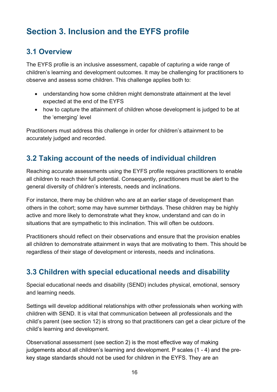# **Section 3. Inclusion and the EYFS profile**

## **3.1 Overview**

The EYFS profile is an inclusive assessment, capable of capturing a wide range of children's learning and development outcomes. It may be challenging for practitioners to observe and assess some children. This challenge applies both to:

- understanding how some children might demonstrate attainment at the level expected at the end of the EYFS
- how to capture the attainment of children whose development is judged to be at the 'emerging' level

Practitioners must address this challenge in order for children's attainment to be accurately judged and recorded.

## **3.2 Taking account of the needs of individual children**

Reaching accurate assessments using the EYFS profile requires practitioners to enable all children to reach their full potential. Consequently, practitioners must be alert to the general diversity of children's interests, needs and inclinations.

For instance, there may be children who are at an earlier stage of development than others in the cohort; some may have summer birthdays. These children may be highly active and more likely to demonstrate what they know, understand and can do in situations that are sympathetic to this inclination. This will often be outdoors.

Practitioners should reflect on their observations and ensure that the provision enables all children to demonstrate attainment in ways that are motivating to them. This should be regardless of their stage of development or interests, needs and inclinations.

## **3.3 Children with special educational needs and disability**

Special educational needs and disability (SEND) includes physical, emotional, sensory and learning needs.

Settings will develop additional relationships with other professionals when working with children with SEND. It is vital that communication between all professionals and the child's parent (see section 12) is strong so that practitioners can get a clear picture of the child's learning and development.

Observational assessment (see section 2) is the most effective way of making judgements about all children's learning and development. P scales (1 - 4) and the prekey stage standards should not be used for children in the EYFS. They are an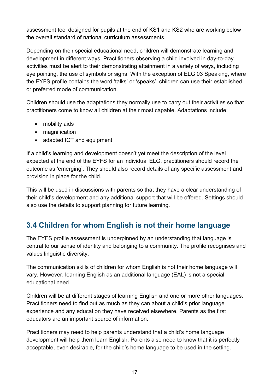assessment tool designed for pupils at the end of KS1 and KS2 who are working below the overall standard of national curriculum assessments.

Depending on their special educational need, children will demonstrate learning and development in different ways. Practitioners observing a child involved in day-to-day activities must be alert to their demonstrating attainment in a variety of ways, including eye pointing, the use of symbols or signs. With the exception of ELG 03 Speaking, where the EYFS profile contains the word 'talks' or 'speaks', children can use their established or preferred mode of communication.

Children should use the adaptations they normally use to carry out their activities so that practitioners come to know all children at their most capable. Adaptations include:

- mobility aids
- magnification
- adapted ICT and equipment

If a child's learning and development doesn't yet meet the description of the level expected at the end of the EYFS for an individual ELG, practitioners should record the outcome as 'emerging'. They should also record details of any specific assessment and provision in place for the child.

This will be used in discussions with parents so that they have a clear understanding of their child's development and any additional support that will be offered. Settings should also use the details to support planning for future learning.

## **3.4 Children for whom English is not their home language**

The EYFS profile assessment is underpinned by an understanding that language is central to our sense of identity and belonging to a community. The profile recognises and values linguistic diversity.

The communication skills of children for whom English is not their home language will vary. However, learning English as an additional language (EAL) is not a special educational need.

Children will be at different stages of learning English and one or more other languages. Practitioners need to find out as much as they can about a child's prior language experience and any education they have received elsewhere. Parents as the first educators are an important source of information.

Practitioners may need to help parents understand that a child's home language development will help them learn English. Parents also need to know that it is perfectly acceptable, even desirable, for the child's home language to be used in the setting.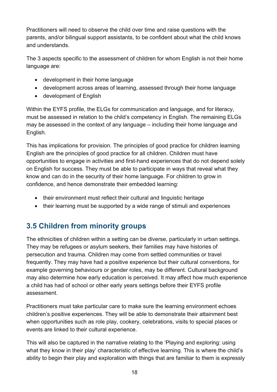Practitioners will need to observe the child over time and raise questions with the parents, and/or bilingual support assistants, to be confident about what the child knows and understands.

The 3 aspects specific to the assessment of children for whom English is not their home language are:

- development in their home language
- development across areas of learning, assessed through their home language
- development of English

Within the EYFS profile, the ELGs for communication and language, and for literacy, must be assessed in relation to the child's competency in English. The remaining ELGs may be assessed in the context of any language – including their home language and English.

This has implications for provision. The principles of good practice for children learning English are the principles of good practice for all children. Children must have opportunities to engage in activities and first-hand experiences that do not depend solely on English for success. They must be able to participate in ways that reveal what they know and can do in the security of their home language. For children to grow in confidence, and hence demonstrate their embedded learning:

- their environment must reflect their cultural and linguistic heritage
- their learning must be supported by a wide range of stimuli and experiences

## **3.5 Children from minority groups**

The ethnicities of children within a setting can be diverse, particularly in urban settings. They may be refugees or asylum seekers, their families may have histories of persecution and trauma. Children may come from settled communities or travel frequently. They may have had a positive experience but their cultural conventions, for example governing behaviours or gender roles, may be different. Cultural background may also determine how early education is perceived. It may affect how much experience a child has had of school or other early years settings before their EYFS profile assessment.

Practitioners must take particular care to make sure the learning environment echoes children's positive experiences. They will be able to demonstrate their attainment best when opportunities such as role play, cookery, celebrations, visits to special places or events are linked to their cultural experience.

This will also be captured in the narrative relating to the 'Playing and exploring: using what they know in their play' characteristic of effective learning. This is where the child's ability to begin their play and exploration with things that are familiar to them is expressly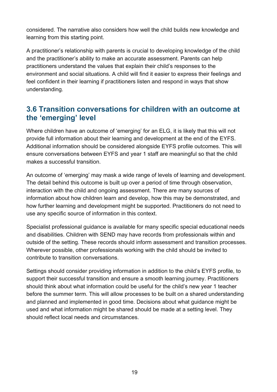considered. The narrative also considers how well the child builds new knowledge and learning from this starting point.

A practitioner's relationship with parents is crucial to developing knowledge of the child and the practitioner's ability to make an accurate assessment. Parents can help practitioners understand the values that explain their child's responses to the environment and social situations. A child will find it easier to express their feelings and feel confident in their learning if practitioners listen and respond in ways that show understanding.

## **3.6 Transition conversations for children with an outcome at the 'emerging' level**

Where children have an outcome of 'emerging' for an ELG, it is likely that this will not provide full information about their learning and development at the end of the EYFS. Additional information should be considered alongside EYFS profile outcomes. This will ensure conversations between EYFS and year 1 staff are meaningful so that the child makes a successful transition.

An outcome of 'emerging' may mask a wide range of levels of learning and development. The detail behind this outcome is built up over a period of time through observation, interaction with the child and ongoing assessment. There are many sources of information about how children learn and develop, how this may be demonstrated, and how further learning and development might be supported. Practitioners do not need to use any specific source of information in this context.

Specialist professional guidance is available for many specific special educational needs and disabilities. Children with SEND may have records from professionals within and outside of the setting. These records should inform assessment and transition processes. Wherever possible, other professionals working with the child should be invited to contribute to transition conversations.

Settings should consider providing information in addition to the child's EYFS profile, to support their successful transition and ensure a smooth learning journey. Practitioners should think about what information could be useful for the child's new year 1 teacher before the summer term. This will allow processes to be built on a shared understanding and planned and implemented in good time. Decisions about what guidance might be used and what information might be shared should be made at a setting level. They should reflect local needs and circumstances.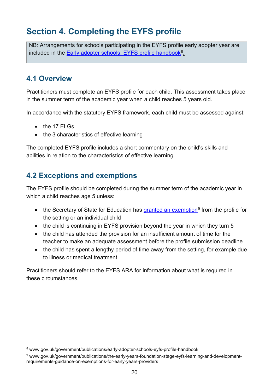# **Section 4. Completing the EYFS profile**

NB: Arrangements for schools participating in the EYFS profile early adopter year are included in the Early adopter schools: EYFS profile handbook<sup>8</sup>.

## **4.1 Overview**

Practitioners must complete an EYFS profile for each child. This assessment takes place in the summer term of the academic year when a child reaches 5 years old.

In accordance with the statutory EYFS framework, each child must be assessed against:

- the 17 ELGs
- the 3 characteristics of effective learning

The completed EYFS profile includes a short commentary on the child's skills and abilities in relation to the characteristics of effective learning.

## **4.2 Exceptions and exemptions**

The EYFS profile should be completed during the summer term of the academic year in which a child reaches age 5 unless:

- the Secretary of State for Education has granted an exemption<sup>9</sup> from the profile for the setting or an individual child
- the child is continuing in EYFS provision beyond the year in which they turn 5
- the child has attended the provision for an insufficient amount of time for the teacher to make an adequate assessment before the profile submission deadline
- the child has spent a lengthy period of time away from the setting, for example due to illness or medical treatment

Practitioners should refer to the EYFS ARA for information about what is required in these circumstances.

<sup>8</sup> www.gov.uk/government/publications/early-adopter-schools-eyfs-profile-handbook

<sup>9</sup> www.gov.uk/government/publications/the-early-years-foundation-stage-eyfs-learning-and-developmentrequirements-guidance-on-exemptions-for-early-years-providers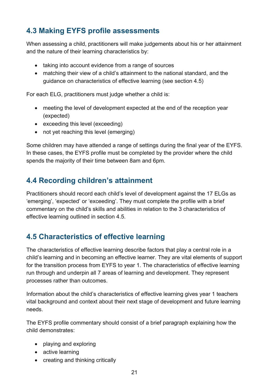## **4.3 Making EYFS profile assessments**

When assessing a child, practitioners will make judgements about his or her attainment and the nature of their learning characteristics by:

- taking into account evidence from a range of sources
- matching their view of a child's attainment to the national standard, and the guidance on characteristics of effective learning (see section 4.5)

For each ELG, practitioners must judge whether a child is:

- meeting the level of development expected at the end of the reception year (expected)
- exceeding this level (exceeding)
- not vet reaching this level (emerging)

Some children may have attended a range of settings during the final year of the EYFS. In these cases, the EYFS profile must be completed by the provider where the child spends the majority of their time between 8am and 6pm.

## **4.4 Recording children's attainment**

Practitioners should record each child's level of development against the 17 ELGs as 'emerging', 'expected' or 'exceeding'. They must complete the profile with a brief commentary on the child's skills and abilities in relation to the 3 characteristics of effective learning outlined in section 4.5.

## **4.5 Characteristics of effective learning**

The characteristics of effective learning describe factors that play a central role in a child's learning and in becoming an effective learner. They are vital elements of support for the transition process from EYFS to year 1. The characteristics of effective learning run through and underpin all 7 areas of learning and development. They represent processes rather than outcomes.

Information about the child's characteristics of effective learning gives year 1 teachers vital background and context about their next stage of development and future learning needs.

The EYFS profile commentary should consist of a brief paragraph explaining how the child demonstrates:

- playing and exploring
- active learning
- creating and thinking critically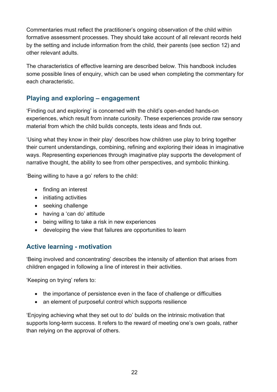Commentaries must reflect the practitioner's ongoing observation of the child within formative assessment processes. They should take account of all relevant records held by the setting and include information from the child, their parents (see section 12) and other relevant adults.

The characteristics of effective learning are described below. This handbook includes some possible lines of enquiry, which can be used when completing the commentary for each characteristic.

#### **Playing and exploring – engagement**

'Finding out and exploring' is concerned with the child's open-ended hands-on experiences, which result from innate curiosity. These experiences provide raw sensory material from which the child builds concepts, tests ideas and finds out.

'Using what they know in their play' describes how children use play to bring together their current understandings, combining, refining and exploring their ideas in imaginative ways. Representing experiences through imaginative play supports the development of narrative thought, the ability to see from other perspectives, and symbolic thinking.

'Being willing to have a go' refers to the child:

- finding an interest
- initiating activities
- seeking challenge
- having a 'can do' attitude
- being willing to take a risk in new experiences
- developing the view that failures are opportunities to learn

#### **Active learning - motivation**

'Being involved and concentrating' describes the intensity of attention that arises from children engaged in following a line of interest in their activities.

'Keeping on trying' refers to:

- the importance of persistence even in the face of challenge or difficulties
- an element of purposeful control which supports resilience

'Enjoying achieving what they set out to do' builds on the intrinsic motivation that supports long-term success. It refers to the reward of meeting one's own goals, rather than relying on the approval of others.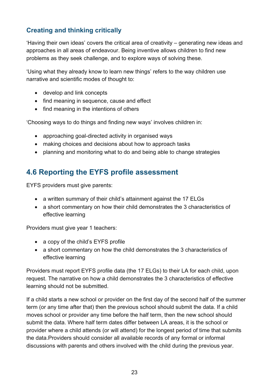#### **Creating and thinking critically**

'Having their own ideas' covers the critical area of creativity – generating new ideas and approaches in all areas of endeavour. Being inventive allows children to find new problems as they seek challenge, and to explore ways of solving these.

'Using what they already know to learn new things' refers to the way children use narrative and scientific modes of thought to:

- develop and link concepts
- find meaning in sequence, cause and effect
- find meaning in the intentions of others

'Choosing ways to do things and finding new ways' involves children in:

- approaching goal-directed activity in organised ways
- making choices and decisions about how to approach tasks
- planning and monitoring what to do and being able to change strategies

## **4.6 Reporting the EYFS profile assessment**

EYFS providers must give parents:

- a written summary of their child's attainment against the 17 ELGs
- a short commentary on how their child demonstrates the 3 characteristics of effective learning

Providers must give year 1 teachers:

- a copy of the child's EYFS profile
- a short commentary on how the child demonstrates the 3 characteristics of effective learning

Providers must report EYFS profile data (the 17 ELGs) to their LA for each child, upon request. The narrative on how a child demonstrates the 3 characteristics of effective learning should not be submitted.

If a child starts a new school or provider on the first day of the second half of the summer term (or any time after that) then the previous school should submit the data. If a child moves school or provider any time before the half term, then the new school should submit the data. Where half term dates differ between LA areas, it is the school or provider where a child attends (or will attend) for the longest period of time that submits the data.Providers should consider all available records of any formal or informal discussions with parents and others involved with the child during the previous year.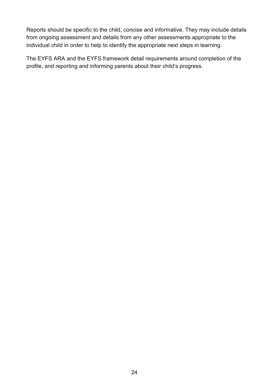Reports should be specific to the child, concise and informative. They may include details from ongoing assessment and details from any other assessments appropriate to the individual child in order to help to identify the appropriate next steps in learning.

The EYFS ARA and the EYFS framework detail requirements around completion of the profile, and reporting and informing parents about their child's progress.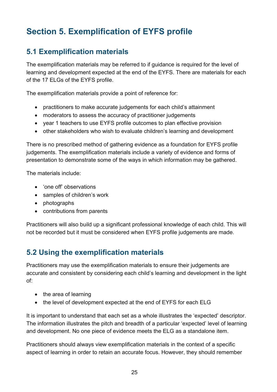# **Section 5. Exemplification of EYFS profile**

## **5.1 Exemplification materials**

The exemplification materials may be referred to if guidance is required for the level of learning and development expected at the end of the EYFS. There are materials for each of the 17 ELGs of the EYFS profile.

The exemplification materials provide a point of reference for:

- practitioners to make accurate judgements for each child's attainment
- moderators to assess the accuracy of practitioner judgements
- year 1 teachers to use EYFS profile outcomes to plan effective provision
- other stakeholders who wish to evaluate children's learning and development

There is no prescribed method of gathering evidence as a foundation for EYFS profile judgements. The exemplification materials include a variety of evidence and forms of presentation to demonstrate some of the ways in which information may be gathered.

The materials include:

- 'one off' observations
- samples of children's work
- photographs
- contributions from parents

Practitioners will also build up a significant professional knowledge of each child. This will not be recorded but it must be considered when EYFS profile judgements are made.

#### **5.2 Using the exemplification materials**

Practitioners may use the exemplification materials to ensure their judgements are accurate and consistent by considering each child's learning and development in the light of:

- the area of learning
- the level of development expected at the end of EYFS for each ELG

It is important to understand that each set as a whole illustrates the 'expected' descriptor. The information illustrates the pitch and breadth of a particular 'expected' level of learning and development. No one piece of evidence meets the ELG as a standalone item.

Practitioners should always view exemplification materials in the context of a specific aspect of learning in order to retain an accurate focus. However, they should remember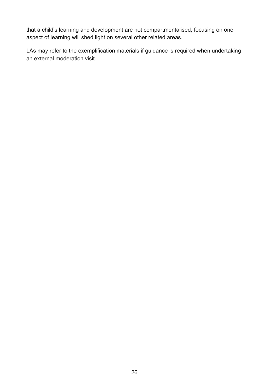that a child's learning and development are not compartmentalised; focusing on one aspect of learning will shed light on several other related areas.

LAs may refer to the exemplification materials if guidance is required when undertaking an external moderation visit.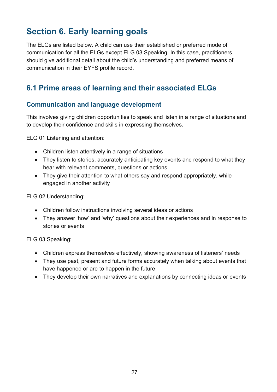# **Section 6. Early learning goals**

The ELGs are listed below. A child can use their established or preferred mode of communication for all the ELGs except ELG 03 Speaking. In this case, practitioners should give additional detail about the child's understanding and preferred means of communication in their EYFS profile record.

## **6.1 Prime areas of learning and their associated ELGs**

#### **Communication and language development**

This involves giving children opportunities to speak and listen in a range of situations and to develop their confidence and skills in expressing themselves.

ELG 01 Listening and attention:

- Children listen attentively in a range of situations
- They listen to stories, accurately anticipating key events and respond to what they hear with relevant comments, questions or actions
- They give their attention to what others say and respond appropriately, while engaged in another activity

ELG 02 Understanding:

- Children follow instructions involving several ideas or actions
- They answer 'how' and 'why' questions about their experiences and in response to stories or events

ELG 03 Speaking:

- Children express themselves effectively, showing awareness of listeners' needs
- They use past, present and future forms accurately when talking about events that have happened or are to happen in the future
- They develop their own narratives and explanations by connecting ideas or events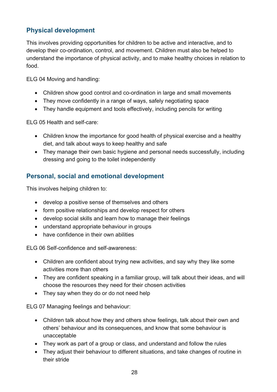#### **Physical development**

This involves providing opportunities for children to be active and interactive, and to develop their co-ordination, control, and movement. Children must also be helped to understand the importance of physical activity, and to make healthy choices in relation to food.

ELG 04 Moving and handling:

- Children show good control and co-ordination in large and small movements
- They move confidently in a range of ways, safely negotiating space
- They handle equipment and tools effectively, including pencils for writing

ELG 05 Health and self-care:

- Children know the importance for good health of physical exercise and a healthy diet, and talk about ways to keep healthy and safe
- They manage their own basic hygiene and personal needs successfully, including dressing and going to the toilet independently

#### **Personal, social and emotional development**

This involves helping children to:

- develop a positive sense of themselves and others
- form positive relationships and develop respect for others
- develop social skills and learn how to manage their feelings
- understand appropriate behaviour in groups
- have confidence in their own abilities

ELG 06 Self-confidence and self-awareness:

- Children are confident about trying new activities, and say why they like some activities more than others
- They are confident speaking in a familiar group, will talk about their ideas, and will choose the resources they need for their chosen activities
- They say when they do or do not need help

ELG 07 Managing feelings and behaviour:

- Children talk about how they and others show feelings, talk about their own and others' behaviour and its consequences, and know that some behaviour is unacceptable
- They work as part of a group or class, and understand and follow the rules
- They adjust their behaviour to different situations, and take changes of routine in their stride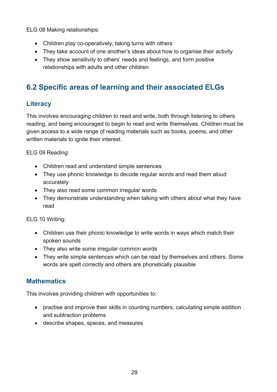ELG 08 Making relationships:

- Children play co-operatively, taking turns with others
- They take account of one another's ideas about how to organise their activity
- They show sensitivity to others' needs and feelings, and form positive relationships with adults and other children

## **6.2 Specific areas of learning and their associated ELGs**

#### **Literacy**

This involves encouraging children to read and write, both through listening to others reading, and being encouraged to begin to read and write themselves. Children must be given access to a wide range of reading materials such as books, poems, and other written materials to ignite their interest.

ELG 09 Reading:

- Children read and understand simple sentences
- They use phonic knowledge to decode regular words and read them aloud accurately
- They also read some common irregular words
- They demonstrate understanding when talking with others about what they have read

ELG 10 Writing:

- Children use their phonic knowledge to write words in ways which match their spoken sounds
- They also write some irregular common words
- They write simple sentences which can be read by themselves and others. Some words are spelt correctly and others are phonetically plausible

#### **Mathematics**

This involves providing children with opportunities to:

- practise and improve their skills in counting numbers, calculating simple addition and subtraction problems
- describe shapes, spaces, and measures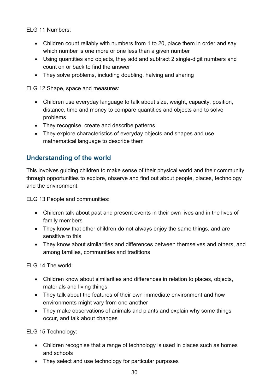ELG 11 Numbers:

- Children count reliably with numbers from 1 to 20, place them in order and say which number is one more or one less than a given number
- Using quantities and objects, they add and subtract 2 single-digit numbers and count on or back to find the answer
- They solve problems, including doubling, halving and sharing

ELG 12 Shape, space and measures:

- Children use everyday language to talk about size, weight, capacity, position, distance, time and money to compare quantities and objects and to solve problems
- They recognise, create and describe patterns
- They explore characteristics of everyday objects and shapes and use mathematical language to describe them

#### **Understanding of the world**

This involves guiding children to make sense of their physical world and their community through opportunities to explore, observe and find out about people, places, technology and the environment.

ELG 13 People and communities:

- Children talk about past and present events in their own lives and in the lives of family members
- They know that other children do not always enjoy the same things, and are sensitive to this
- They know about similarities and differences between themselves and others, and among families, communities and traditions

ELG 14 The world:

- Children know about similarities and differences in relation to places, objects, materials and living things
- They talk about the features of their own immediate environment and how environments might vary from one another
- They make observations of animals and plants and explain why some things occur, and talk about changes

ELG 15 Technology:

- Children recognise that a range of technology is used in places such as homes and schools
- They select and use technology for particular purposes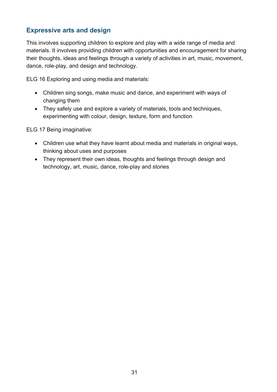#### **Expressive arts and design**

This involves supporting children to explore and play with a wide range of media and materials. It involves providing children with opportunities and encouragement for sharing their thoughts, ideas and feelings through a variety of activities in art, music, movement, dance, role-play, and design and technology.

ELG 16 Exploring and using media and materials:

- Children sing songs, make music and dance, and experiment with ways of changing them
- They safely use and explore a variety of materials, tools and techniques, experimenting with colour, design, texture, form and function

ELG 17 Being imaginative:

- Children use what they have learnt about media and materials in original ways, thinking about uses and purposes
- They represent their own ideas, thoughts and feelings through design and technology, art, music, dance, role-play and stories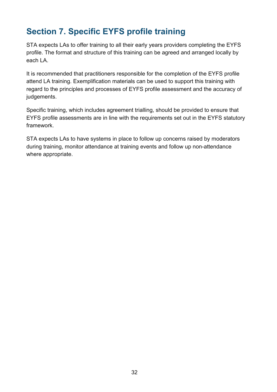# **Section 7. Specific EYFS profile training**

STA expects LAs to offer training to all their early years providers completing the EYFS profile. The format and structure of this training can be agreed and arranged locally by each LA.

It is recommended that practitioners responsible for the completion of the EYFS profile attend LA training. Exemplification materials can be used to support this training with regard to the principles and processes of EYFS profile assessment and the accuracy of judgements.

Specific training, which includes agreement trialling, should be provided to ensure that EYFS profile assessments are in line with the requirements set out in the EYFS statutory framework.

STA expects LAs to have systems in place to follow up concerns raised by moderators during training, monitor attendance at training events and follow up non-attendance where appropriate.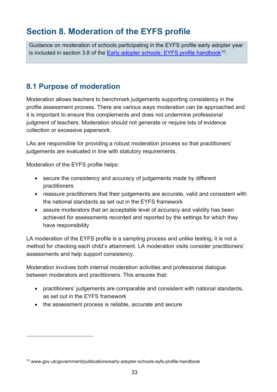# **Section 8. Moderation of the EYFS profile**

Guidance on moderation of schools participating in the EYFS profile early adopter year is included in section 3.8 of the Early adopter schools: EYFS profile handbook<sup>10</sup>.

## **8.1 Purpose of moderation**

Moderation allows teachers to benchmark judgements supporting consistency in the profile assessment process. There are various ways moderation can be approached and it is important to ensure this complements and does not undermine professional judgment of teachers. Moderation should not generate or require lots of evidence collection or excessive paperwork.

LAs are responsible for providing a robust moderation process so that practitioners' judgements are evaluated in line with statutory requirements.

Moderation of the EYFS profile helps:

- secure the consistency and accuracy of judgements made by different practitioners
- reassure practitioners that their judgements are accurate, valid and consistent with the national standards as set out in the EYFS framework
- assure moderators that an acceptable level of accuracy and validity has been achieved for assessments recorded and reported by the settings for which they have responsibility

LA moderation of the EYFS profile is a sampling process and unlike testing, it is not a method for checking each child's attainment. LA moderation visits consider practitioners' assessments and help support consistency.

Moderation involves both internal moderation activities and professional dialogue between moderators and practitioners. This ensures that:

- practitioners' judgements are comparable and consistent with national standards, as set out in the EYFS framework
- the assessment process is reliable, accurate and secure

<sup>10</sup> www.gov.uk/government/publications/early-adopter-schools-eyfs-profile-handbook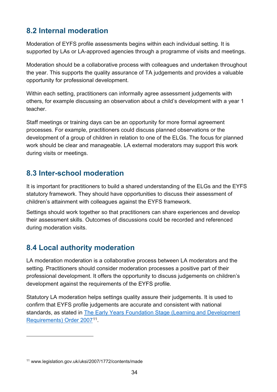## **8.2 Internal moderation**

Moderation of EYFS profile assessments begins within each individual setting. It is supported by LAs or LA-approved agencies through a programme of visits and meetings.

Moderation should be a collaborative process with colleagues and undertaken throughout the year. This supports the quality assurance of TA judgements and provides a valuable opportunity for professional development.

Within each setting, practitioners can informally agree assessment judgements with others, for example discussing an observation about a child's development with a year 1 teacher.

Staff meetings or training days can be an opportunity for more formal agreement processes. For example, practitioners could discuss planned observations or the development of a group of children in relation to one of the ELGs. The focus for planned work should be clear and manageable. LA external moderators may support this work during visits or meetings.

## **8.3 Inter-school moderation**

It is important for practitioners to build a shared understanding of the ELGs and the EYFS statutory framework. They should have opportunities to discuss their assessment of children's attainment with colleagues against the EYFS framework.

Settings should work together so that practitioners can share experiences and develop their assessment skills. Outcomes of discussions could be recorded and referenced during moderation visits.

## **8.4 Local authority moderation**

LA moderation moderation is a collaborative process between LA moderators and the setting. Practitioners should consider moderation processes a positive part of their professional development. It offers the opportunity to discuss judgements on children's development against the requirements of the EYFS profile.

Statutory LA moderation helps settings quality assure their judgements. It is used to confirm that EYFS profile judgements are accurate and consistent with national standards, as stated in The Early Years Foundation Stage (Learning and Development Requirements) Order 200711.

<sup>11</sup> www.legislation.gov.uk/uksi/2007/1772/contents/made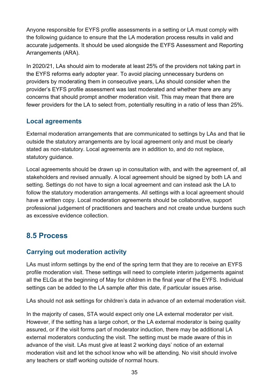Anyone responsible for EYFS profile assessments in a setting or LA must comply with the following guidance to ensure that the LA moderation process results in valid and accurate judgements. It should be used alongside the EYFS Assessment and Reporting Arrangements (ARA).

In 2020/21, LAs should aim to moderate at least 25% of the providers not taking part in the EYFS reforms early adopter year. To avoid placing unnecessary burdens on providers by moderating them in consecutive years, LAs should consider when the provider's EYFS profile assessment was last moderated and whether there are any concerns that should prompt another moderation visit. This may mean that there are fewer providers for the LA to select from, potentially resulting in a ratio of less than 25%.

#### **Local agreements**

External moderation arrangements that are communicated to settings by LAs and that lie outside the statutory arrangements are by local agreement only and must be clearly stated as non-statutory. Local agreements are in addition to, and do not replace, statutory guidance.

Local agreements should be drawn up in consultation with, and with the agreement of, all stakeholders and revised annually. A local agreement should be signed by both LA and setting. Settings do not have to sign a local agreement and can instead ask the LA to follow the statutory moderation arrangements. All settings with a local agreement should have a written copy. Local moderation agreements should be collaborative, support professional judgement of practitioners and teachers and not create undue burdens such as excessive evidence collection.

## **8.5 Process**

#### **Carrying out moderation activity**

LAs must inform settings by the end of the spring term that they are to receive an EYFS profile moderation visit. These settings will need to complete interim judgements against all the ELGs at the beginning of May for children in the final year of the EYFS. Individual settings can be added to the LA sample after this date, if particular issues arise.

LAs should not ask settings for children's data in advance of an external moderation visit.

In the majority of cases, STA would expect only one LA external moderator per visit. However, if the setting has a large cohort, or the LA external moderator is being quality assured, or if the visit forms part of moderator induction, there may be additional LA external moderators conducting the visit. The setting must be made aware of this in advance of the visit. LAs must give at least 2 working days' notice of an external moderation visit and let the school know who will be attending. No visit should involve any teachers or staff working outside of normal hours.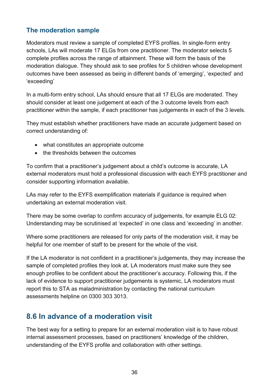#### **The moderation sample**

Moderators must review a sample of completed EYFS profiles. In single-form entry schools, LAs will moderate 17 ELGs from one practitioner. The moderator selects 5 complete profiles across the range of attainment. These will form the basis of the moderation dialogue. They should ask to see profiles for 5 children whose development outcomes have been assessed as being in different bands of 'emerging', 'expected' and 'exceeding'

In a multi-form entry school, LAs should ensure that all 17 ELGs are moderated. They should consider at least one judgement at each of the 3 outcome levels from each practitioner within the sample, if each practitioner has judgements in each of the 3 levels.

They must establish whether practitioners have made an accurate judgement based on correct understanding of:

- what constitutes an appropriate outcome
- the thresholds between the outcomes

To confirm that a practitioner's judgement about a child's outcome is accurate, LA external moderators must hold a professional discussion with each EYFS practitioner and consider supporting information available.

LAs may refer to the EYFS exemplification materials if guidance is required when undertaking an external moderation visit.

There may be some overlap to confirm accuracy of judgements, for example ELG 02: Understanding may be scrutinised at 'expected' in one class and 'exceeding' in another.

Where some practitioners are released for only parts of the moderation visit, it may be helpful for one member of staff to be present for the whole of the visit.

If the LA moderator is not confident in a practitioner's judgements, they may increase the sample of completed profiles they look at. LA moderators must make sure they see enough profiles to be confident about the practitioner's accuracy. Following this, if the lack of evidence to support practitioner judgements is systemic, LA moderators must report this to STA as maladministration by contacting the national curriculum assessments helpline on 0300 303 3013.

## **8.6 In advance of a moderation visit**

The best way for a setting to prepare for an external moderation visit is to have robust internal assessment processes, based on practitioners' knowledge of the children, understanding of the EYFS profile and collaboration with other settings.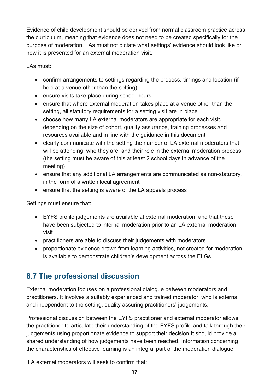Evidence of child development should be derived from normal classroom practice across the curriculum, meaning that evidence does not need to be created specifically for the purpose of moderation. LAs must not dictate what settings' evidence should look like or how it is presented for an external moderation visit.

LAs must:

- confirm arrangements to settings regarding the process, timings and location (if held at a venue other than the setting)
- ensure visits take place during school hours
- ensure that where external moderation takes place at a venue other than the setting, all statutory requirements for a setting visit are in place
- choose how many LA external moderators are appropriate for each visit, depending on the size of cohort, quality assurance, training processes and resources available and in line with the guidance in this document
- clearly communicate with the setting the number of LA external moderators that will be attending, who they are, and their role in the external moderation process (the setting must be aware of this at least 2 school days in advance of the meeting)
- ensure that any additional LA arrangements are communicated as non-statutory, in the form of a written local agreement
- ensure that the setting is aware of the LA appeals process

Settings must ensure that:

- EYFS profile judgements are available at external moderation, and that these have been subjected to internal moderation prior to an LA external moderation visit
- practitioners are able to discuss their judgements with moderators
- proportionate evidence drawn from learning activities, not created for moderation, is available to demonstrate children's development across the ELGs

## **8.7 The professional discussion**

External moderation focuses on a professional dialogue between moderators and practitioners. It involves a suitably experienced and trained moderator, who is external and independent to the setting, quality assuring practitioners' judgements.

Professional discussion between the EYFS practitioner and external moderator allows the practitioner to articulate their understanding of the EYFS profile and talk through their judgements using proportionate evidence to support their decision.It should provide a shared understanding of how judgements have been reached. Information concerning the characteristics of effective learning is an integral part of the moderation dialogue.

LA external moderators will seek to confirm that: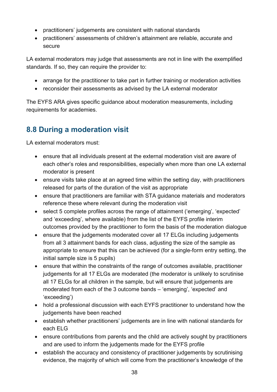- practitioners' judgements are consistent with national standards
- practitioners' assessments of children's attainment are reliable, accurate and secure

LA external moderators may judge that assessments are not in line with the exemplified standards. If so, they can require the provider to:

- arrange for the practitioner to take part in further training or moderation activities
- reconsider their assessments as advised by the LA external moderator

The EYFS ARA gives specific guidance about moderation measurements, including requirements for academies.

## **8.8 During a moderation visit**

LA external moderators must:

- ensure that all individuals present at the external moderation visit are aware of each other's roles and responsibilities, especially when more than one LA external moderator is present
- ensure visits take place at an agreed time within the setting day, with practitioners released for parts of the duration of the visit as appropriate
- ensure that practitioners are familiar with STA guidance materials and moderators reference these where relevant during the moderation visit
- select 5 complete profiles across the range of attainment ('emerging', 'expected' and 'exceeding', where available) from the list of the EYFS profile interim outcomes provided by the practitioner to form the basis of the moderation dialogue
- ensure that the judgements moderated cover all 17 ELGs including judgements from all 3 attainment bands for each class, adjusting the size of the sample as appropriate to ensure that this can be achieved (for a single-form entry setting, the initial sample size is 5 pupils)
- ensure that within the constraints of the range of outcomes available, practitioner judgements for all 17 ELGs are moderated (the moderator is unlikely to scrutinise all 17 ELGs for all children in the sample, but will ensure that judgements are moderated from each of the 3 outcome bands – 'emerging', 'expected' and 'exceeding')
- hold a professional discussion with each EYFS practitioner to understand how the judgements have been reached
- establish whether practitioners' judgements are in line with national standards for each ELG
- ensure contributions from parents and the child are actively sought by practitioners and are used to inform the judgements made for the EYFS profile
- establish the accuracy and consistency of practitioner judgements by scrutinising evidence, the majority of which will come from the practitioner's knowledge of the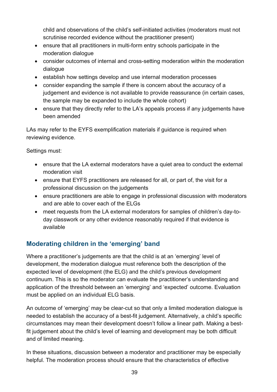child and observations of the child's self-initiated activities (moderators must not scrutinise recorded evidence without the practitioner present)

- ensure that all practitioners in multi-form entry schools participate in the moderation dialogue
- consider outcomes of internal and cross-setting moderation within the moderation dialogue
- establish how settings develop and use internal moderation processes
- consider expanding the sample if there is concern about the accuracy of a judgement and evidence is not available to provide reassurance (in certain cases, the sample may be expanded to include the whole cohort)
- ensure that they directly refer to the LA's appeals process if any judgements have been amended

LAs may refer to the EYFS exemplification materials if guidance is required when reviewing evidence.

Settings must:

- ensure that the LA external moderators have a quiet area to conduct the external moderation visit
- ensure that EYFS practitioners are released for all, or part of, the visit for a professional discussion on the judgements
- ensure practitioners are able to engage in professional discussion with moderators and are able to cover each of the ELGs
- meet requests from the LA external moderators for samples of children's day-today classwork or any other evidence reasonably required if that evidence is available

## **Moderating children in the 'emerging' band**

Where a practitioner's judgements are that the child is at an 'emerging' level of development, the moderation dialogue must reference both the description of the expected level of development (the ELG) and the child's previous development continuum. This is so the moderator can evaluate the practitioner's understanding and application of the threshold between an 'emerging' and 'expected' outcome. Evaluation must be applied on an individual ELG basis.

An outcome of 'emerging' may be clear-cut so that only a limited moderation dialogue is needed to establish the accuracy of a best-fit judgement. Alternatively, a child's specific circumstances may mean their development doesn't follow a linear path. Making a bestfit judgement about the child's level of learning and development may be both difficult and of limited meaning.

In these situations, discussion between a moderator and practitioner may be especially helpful. The moderation process should ensure that the characteristics of effective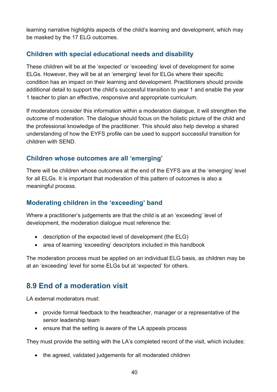learning narrative highlights aspects of the child's learning and development, which may be masked by the 17 ELG outcomes.

#### **Children with special educational needs and disability**

These children will be at the 'expected' or 'exceeding' level of development for some ELGs. However, they will be at an 'emerging' level for ELGs where their specific condition has an impact on their learning and development. Practitioners should provide additional detail to support the child's successful transition to year 1 and enable the year 1 teacher to plan an effective, responsive and appropriate curriculum.

If moderators consider this information within a moderation dialogue, it will strengthen the outcome of moderation. The dialogue should focus on the holistic picture of the child and the professional knowledge of the practitioner. This should also help develop a shared understanding of how the EYFS profile can be used to support successful transition for children with SEND.

#### **Children whose outcomes are all 'emerging'**

There will be children whose outcomes at the end of the EYFS are at the 'emerging' level for all ELGs. It is important that moderation of this pattern of outcomes is also a meaningful process.

#### **Moderating children in the 'exceeding' band**

Where a practitioner's judgements are that the child is at an 'exceeding' level of development, the moderation dialogue must reference the:

- description of the expected level of development (the ELG)
- area of learning 'exceeding' descriptors included in this handbook

The moderation process must be applied on an individual ELG basis, as children may be at an 'exceeding' level for some ELGs but at 'expected' for others.

## **8.9 End of a moderation visit**

LA external moderators must:

- provide formal feedback to the headteacher, manager or a representative of the senior leadership team
- ensure that the setting is aware of the LA appeals process

They must provide the setting with the LA's completed record of the visit, which includes:

• the agreed, validated judgements for all moderated children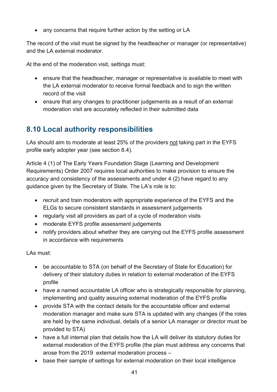• any concerns that require further action by the setting or LA

The record of the visit must be signed by the headteacher or manager (or representative) and the LA external moderator.

At the end of the moderation visit, settings must:

- ensure that the headteacher, manager or representative is available to meet with the LA external moderator to receive formal feedback and to sign the written record of the visit
- ensure that any changes to practitioner judgements as a result of an external moderation visit are accurately reflected in their submitted data

## **8.10 Local authority responsibilities**

LAs should aim to moderate at least 25% of the providers not taking part in the EYFS profile early adopter year (see section 8.4).

Article 4 (1) of The Early Years Foundation Stage (Learning and Development Requirements) Order 2007 requires local authorities to make provision to ensure the accuracy and consistency of the assessments and under 4 (2) have regard to any guidance given by the Secretary of State. The LA's role is to:

- recruit and train moderators with appropriate experience of the EYFS and the ELGs to secure consistent standards in assessment judgements
- regularly visit all providers as part of a cycle of moderation visits
- moderate EYFS profile assessment judgements
- notify providers about whether they are carrying out the EYFS profile assessment in accordance with requirements

LAs must:

- be accountable to STA (on behalf of the Secretary of State for Education) for delivery of their statutory duties in relation to external moderation of the EYFS profile
- have a named accountable LA officer who is strategically responsible for planning, implementing and quality assuring external moderation of the EYFS profile
- provide STA with the contact details for the accountable officer and external moderation manager and make sure STA is updated with any changes (if the roles are held by the same individual, details of a senior LA manager or director must be provided to STA)
- have a full internal plan that details how the LA will deliver its statutory duties for external moderation of the EYFS profile (the plan must address any concerns that arose from the 2019 external moderation process –
- base their sample of settings for external moderation on their local intelligence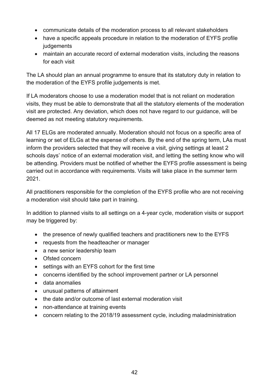- communicate details of the moderation process to all relevant stakeholders
- have a specific appeals procedure in relation to the moderation of EYFS profile judgements
- maintain an accurate record of external moderation visits, including the reasons for each visit

The LA should plan an annual programme to ensure that its statutory duty in relation to the moderation of the EYFS profile judgements is met.

If LA moderators choose to use a moderation model that is not reliant on moderation visits, they must be able to demonstrate that all the statutory elements of the moderation visit are protected. Any deviation, which does not have regard to our guidance, will be deemed as not meeting statutory requirements.

All 17 ELGs are moderated annually. Moderation should not focus on a specific area of learning or set of ELGs at the expense of others. By the end of the spring term, LAs must inform the providers selected that they will receive a visit, giving settings at least 2 schools days' notice of an external moderation visit, and letting the setting know who will be attending. Providers must be notified of whether the EYFS profile assessment is being carried out in accordance with requirements. Visits will take place in the summer term 2021.

All practitioners responsible for the completion of the EYFS profile who are not receiving a moderation visit should take part in training.

In addition to planned visits to all settings on a 4-year cycle, moderation visits or support may be triggered by:

- the presence of newly qualified teachers and practitioners new to the EYFS
- requests from the headteacher or manager
- a new senior leadership team
- Ofsted concern
- settings with an EYFS cohort for the first time
- concerns identified by the school improvement partner or LA personnel
- data anomalies
- unusual patterns of attainment
- the date and/or outcome of last external moderation visit
- non-attendance at training events
- concern relating to the 2018/19 assessment cycle, including maladministration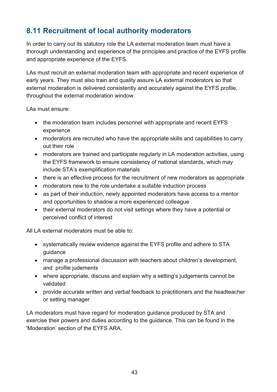## **8.11 Recruitment of local authority moderators**

In order to carry out its statutory role the LA external moderation team must have a thorough understanding and experience of the principles and practice of the EYFS profile and appropriate experience of the EYFS.

LAs must recruit an external moderation team with appropriate and recent experience of early years. They must also train and quality assure LA external moderators so that external moderation is delivered consistently and accurately against the EYFS profile, throughout the external moderation window.

LAs must ensure:

- the moderation team includes personnel with appropriate and recent EYFS experience
- moderators are recruited who have the appropriate skills and capabilities to carry out their role
- moderators are trained and participate regularly in LA moderation activities, using the EYFS framework to ensure consistency of national standards, which may include STA's exemplification materials
- there is an effective process for the recruitment of new moderators as appropriate
- moderators new to the role undertake a suitable induction process
- as part of their induction, newly appointed moderators have access to a mentor and opportunities to shadow a more experienced colleague
- their external moderators do not visit settings where they have a potential or perceived conflict of interest

All LA external moderators must be able to:

- systematically review evidence against the EYFS profile and adhere to STA guidance
- manage a professional discussion with teachers about children's development, and profile judements
- where appropriate, discuss and explain why a setting's judgements cannot be validated
- provide accurate written and verbal feedback to practitioners and the headteacher or setting manager

LA moderators must have regard for moderation guidance produced by STA and exercise their powers and duties according to the guidance. This can be found in the 'Moderation' section of the EYFS ARA.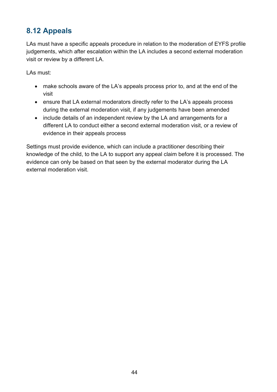## **8.12 Appeals**

LAs must have a specific appeals procedure in relation to the moderation of EYFS profile judgements, which after escalation within the LA includes a second external moderation visit or review by a different LA.

LAs must:

- make schools aware of the LA's appeals process prior to, and at the end of the visit
- ensure that LA external moderators directly refer to the LA's appeals process during the external moderation visit, if any judgements have been amended
- include details of an independent review by the LA and arrangements for a different LA to conduct either a second external moderation visit, or a review of evidence in their appeals process

Settings must provide evidence, which can include a practitioner describing their knowledge of the child, to the LA to support any appeal claim before it is processed. The evidence can only be based on that seen by the external moderator during the LA external moderation visit.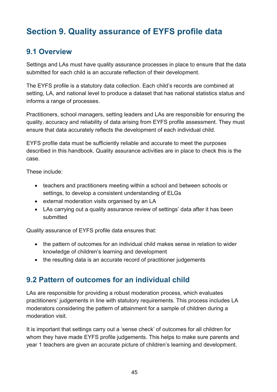# **Section 9. Quality assurance of EYFS profile data**

## **9.1 Overview**

Settings and LAs must have quality assurance processes in place to ensure that the data submitted for each child is an accurate reflection of their development.

The EYFS profile is a statutory data collection. Each child's records are combined at setting, LA, and national level to produce a dataset that has national statistics status and informs a range of processes.

Practitioners, school managers, setting leaders and LAs are responsible for ensuring the quality, accuracy and reliability of data arising from EYFS profile assessment. They must ensure that data accurately reflects the development of each individual child.

EYFS profile data must be sufficiently reliable and accurate to meet the purposes described in this handbook. Quality assurance activities are in place to check this is the case.

These include:

- teachers and practitioners meeting within a school and between schools or settings, to develop a consistent understanding of ELGs
- external moderation visits organised by an LA
- LAs carrying out a quality assurance review of settings' data after it has been submitted

Quality assurance of EYFS profile data ensures that:

- the pattern of outcomes for an individual child makes sense in relation to wider knowledge of children's learning and development
- the resulting data is an accurate record of practitioner judgements

## **9.2 Pattern of outcomes for an individual child**

LAs are responsible for providing a robust moderation process, which evaluates practitioners' judgements in line with statutory requirements. This process includes LA moderators considering the pattern of attainment for a sample of children during a moderation visit.

It is important that settings carry out a 'sense check' of outcomes for all children for whom they have made EYFS profile judgements. This helps to make sure parents and year 1 teachers are given an accurate picture of children's learning and development.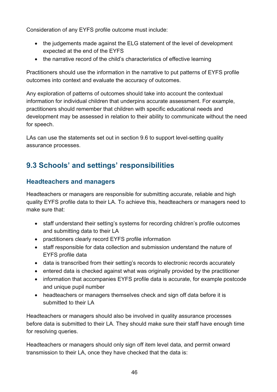Consideration of any EYFS profile outcome must include:

- the judgements made against the ELG statement of the level of development expected at the end of the EYFS
- the narrative record of the child's characteristics of effective learning

Practitioners should use the information in the narrative to put patterns of EYFS profile outcomes into context and evaluate the accuracy of outcomes.

Any exploration of patterns of outcomes should take into account the contextual information for individual children that underpins accurate assessment. For example, practitioners should remember that children with specific educational needs and development may be assessed in relation to their ability to communicate without the need for speech.

LAs can use the statements set out in section 9.6 to support level-setting quality assurance processes.

## **9.3 Schools' and settings' responsibilities**

#### **Headteachers and managers**

Headteachers or managers are responsible for submitting accurate, reliable and high quality EYFS profile data to their LA. To achieve this, headteachers or managers need to make sure that:

- staff understand their setting's systems for recording children's profile outcomes and submitting data to their LA
- practitioners clearly record EYFS profile information
- staff responsible for data collection and submission understand the nature of EYFS profile data
- data is transcribed from their setting's records to electronic records accurately
- entered data is checked against what was originally provided by the practitioner
- information that accompanies EYFS profile data is accurate, for example postcode and unique pupil number
- headteachers or managers themselves check and sign off data before it is submitted to their LA

Headteachers or managers should also be involved in quality assurance processes before data is submitted to their LA. They should make sure their staff have enough time for resolving queries.

Headteachers or managers should only sign off item level data, and permit onward transmission to their LA, once they have checked that the data is: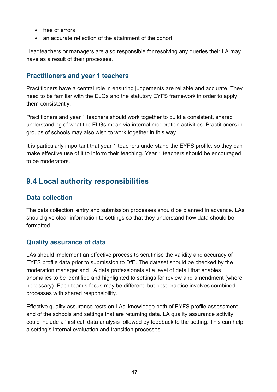- free of errors
- an accurate reflection of the attainment of the cohort

Headteachers or managers are also responsible for resolving any queries their LA may have as a result of their processes.

#### **Practitioners and year 1 teachers**

Practitioners have a central role in ensuring judgements are reliable and accurate. They need to be familiar with the ELGs and the statutory EYFS framework in order to apply them consistently.

Practitioners and year 1 teachers should work together to build a consistent, shared understanding of what the ELGs mean via internal moderation activities. Practitioners in groups of schools may also wish to work together in this way.

It is particularly important that year 1 teachers understand the EYFS profile, so they can make effective use of it to inform their teaching. Year 1 teachers should be encouraged to be moderators.

## **9.4 Local authority responsibilities**

#### **Data collection**

The data collection, entry and submission processes should be planned in advance. LAs should give clear information to settings so that they understand how data should be formatted.

#### **Quality assurance of data**

LAs should implement an effective process to scrutinise the validity and accuracy of EYFS profile data prior to submission to DfE. The dataset should be checked by the moderation manager and LA data professionals at a level of detail that enables anomalies to be identified and highlighted to settings for review and amendment (where necessary). Each team's focus may be different, but best practice involves combined processes with shared responsibility.

Effective quality assurance rests on LAs' knowledge both of EYFS profile assessment and of the schools and settings that are returning data. LA quality assurance activity could include a 'first cut' data analysis followed by feedback to the setting. This can help a setting's internal evaluation and transition processes.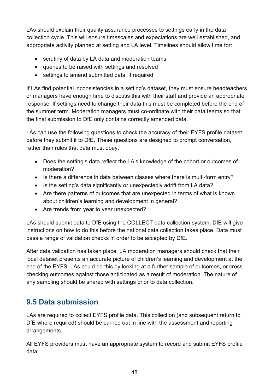LAs should explain their quality assurance processes to settings early in the data collection cycle. This will ensure timescales and expectations are well established, and appropriate activity planned at setting and LA level. Timelines should allow time for:

- scrutiny of data by LA data and moderation teams
- queries to be raised with settings and resolved
- settings to amend submitted data, if required

If LAs find potential inconsistencies in a setting's dataset, they must ensure headteachers or managers have enough time to discuss this with their staff and provide an appropriate response. If settings need to change their data this must be completed before the end of the summer term. Moderation managers must co-ordinate with their data teams so that the final submission to DfE only contains correctly amended data.

LAs can use the following questions to check the accuracy of their EYFS profile dataset before they submit it to DfE. These questions are designed to prompt conversation, rather than rules that data must obey.

- Does the setting's data reflect the LA's knowledge of the cohort or outcomes of moderation?
- Is there a difference in data between classes where there is multi-form entry?
- Is the setting's data significantly or unexpectedly adrift from LA data?
- Are there patterns of outcomes that are unexpected in terms of what is known about children's learning and development in general?
- Are trends from year to year unexpected?

LAs should submit data to DfE using the COLLECT data collection system. DfE will give instructions on how to do this before the national data collection takes place. Data must pass a range of validation checks in order to be accepted by DfE.

After data validation has taken place, LA moderation managers should check that their local dataset presents an accurate picture of children's learning and development at the end of the EYFS. LAs could do this by looking at a further sample of outcomes, or cross checking outcomes against those anticipated as a result of moderation. The nature of any sampling should be shared with settings prior to data collection.

## **9.5 Data submission**

LAs are required to collect EYFS profile data. This collection (and subsequent return to DfE where required) should be carried out in line with the assessment and reporting arrangements.

All EYFS providers must have an appropriate system to record and submit EYFS profile data.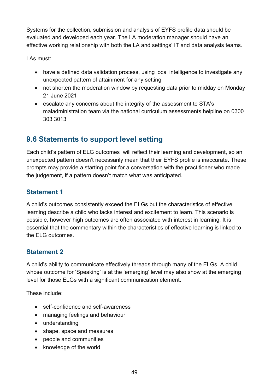Systems for the collection, submission and analysis of EYFS profile data should be evaluated and developed each year. The LA moderation manager should have an effective working relationship with both the LA and settings' IT and data analysis teams.

LAs must:

- have a defined data validation process, using local intelligence to investigate any unexpected pattern of attainment for any setting
- not shorten the moderation window by requesting data prior to midday on Monday 21 June 2021
- escalate any concerns about the integrity of the assessment to STA's maladministration team via the national curriculum assessments helpline on 0300 303 3013

## **9.6 Statements to support level setting**

Each child's pattern of ELG outcomes will reflect their learning and development, so an unexpected pattern doesn't necessarily mean that their EYFS profile is inaccurate. These prompts may provide a starting point for a conversation with the practitioner who made the judgement, if a pattern doesn't match what was anticipated.

#### **Statement 1**

A child's outcomes consistently exceed the ELGs but the characteristics of effective learning describe a child who lacks interest and excitement to learn. This scenario is possible, however high outcomes are often associated with interest in learning. It is essential that the commentary within the characteristics of effective learning is linked to the ELG outcomes.

#### **Statement 2**

A child's ability to communicate effectively threads through many of the ELGs. A child whose outcome for 'Speaking' is at the 'emerging' level may also show at the emerging level for those ELGs with a significant communication element.

These include:

- self-confidence and self-awareness
- managing feelings and behaviour
- understanding
- shape, space and measures
- people and communities
- knowledge of the world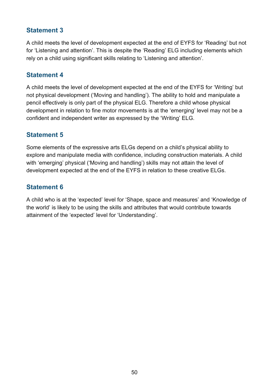#### **Statement 3**

A child meets the level of development expected at the end of EYFS for 'Reading' but not for 'Listening and attention'. This is despite the 'Reading' ELG including elements which rely on a child using significant skills relating to 'Listening and attention'.

#### **Statement 4**

A child meets the level of development expected at the end of the EYFS for 'Writing' but not physical development ('Moving and handling'). The ability to hold and manipulate a pencil effectively is only part of the physical ELG. Therefore a child whose physical development in relation to fine motor movements is at the 'emerging' level may not be a confident and independent writer as expressed by the 'Writing' ELG.

#### **Statement 5**

Some elements of the expressive arts ELGs depend on a child's physical ability to explore and manipulate media with confidence, including construction materials. A child with 'emerging' physical ('Moving and handling') skills may not attain the level of development expected at the end of the EYFS in relation to these creative ELGs.

#### **Statement 6**

A child who is at the 'expected' level for 'Shape, space and measures' and 'Knowledge of the world' is likely to be using the skills and attributes that would contribute towards attainment of the 'expected' level for 'Understanding'.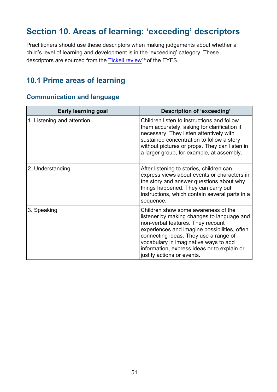# **Section 10. Areas of learning: 'exceeding' descriptors**

Practitioners should use these descriptors when making judgements about whether a child's level of learning and development is in the 'exceeding' category. These descriptors are sourced from the Tickell review<sup>14</sup> of the EYFS.

## **10.1 Prime areas of learning**

#### **Communication and language**

| <b>Early learning goal</b> | Description of 'exceeding'                                                                                                                                                                                                                                                                                                            |
|----------------------------|---------------------------------------------------------------------------------------------------------------------------------------------------------------------------------------------------------------------------------------------------------------------------------------------------------------------------------------|
| 1. Listening and attention | Children listen to instructions and follow<br>them accurately, asking for clarification if<br>necessary. They listen attentively with<br>sustained concentration to follow a story<br>without pictures or props. They can listen in<br>a larger group, for example, at assembly.                                                      |
| 2. Understanding           | After listening to stories, children can<br>express views about events or characters in<br>the story and answer questions about why<br>things happened. They can carry out<br>instructions, which contain several parts in a<br>sequence.                                                                                             |
| 3. Speaking                | Children show some awareness of the<br>listener by making changes to language and<br>non-verbal features. They recount<br>experiences and imagine possibilities, often<br>connecting ideas. They use a range of<br>vocabulary in imaginative ways to add<br>information, express ideas or to explain or<br>justify actions or events. |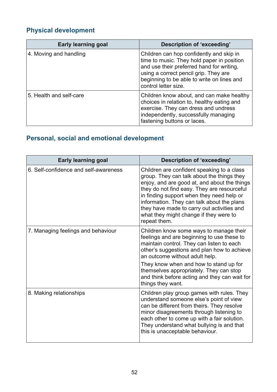## **Physical development**

| <b>Early learning goal</b> | Description of 'exceeding'                                                                                                                                                                                                                         |
|----------------------------|----------------------------------------------------------------------------------------------------------------------------------------------------------------------------------------------------------------------------------------------------|
| 4. Moving and handling     | Children can hop confidently and skip in<br>time to music. They hold paper in position<br>and use their preferred hand for writing,<br>using a correct pencil grip. They are<br>beginning to be able to write on lines and<br>control letter size. |
| 5. Health and self-care    | Children know about, and can make healthy<br>choices in relation to, healthy eating and<br>exercise. They can dress and undress<br>independently, successfully managing<br>fastening buttons or laces.                                             |

## **Personal, social and emotional development**

| <b>Early learning goal</b>            | Description of 'exceeding'                                                                                                                                                                                                                                                                                                                                                                 |
|---------------------------------------|--------------------------------------------------------------------------------------------------------------------------------------------------------------------------------------------------------------------------------------------------------------------------------------------------------------------------------------------------------------------------------------------|
| 6. Self-confidence and self-awareness | Children are confident speaking to a class<br>group. They can talk about the things they<br>enjoy, and are good at, and about the things<br>they do not find easy. They are resourceful<br>in finding support when they need help or<br>information. They can talk about the plans<br>they have made to carry out activities and<br>what they might change if they were to<br>repeat them. |
| 7. Managing feelings and behaviour    | Children know some ways to manage their<br>feelings and are beginning to use these to<br>maintain control. They can listen to each<br>other's suggestions and plan how to achieve<br>an outcome without adult help.<br>They know when and how to stand up for<br>themselves appropriately. They can stop<br>and think before acting and they can wait for<br>things they want.             |
| 8. Making relationships               | Children play group games with rules. They<br>understand someone else's point of view<br>can be different from theirs. They resolve<br>minor disagreements through listening to<br>each other to come up with a fair solution.<br>They understand what bullying is and that<br>this is unacceptable behaviour.                                                                             |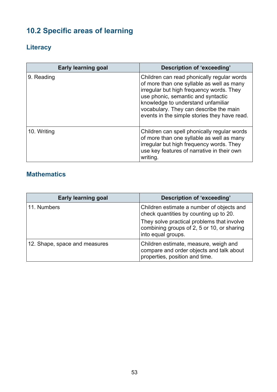# **10.2 Specific areas of learning**

## **Literacy**

| <b>Early learning goal</b> | Description of 'exceeding'                                                                                                                                                                                                                                                                                |
|----------------------------|-----------------------------------------------------------------------------------------------------------------------------------------------------------------------------------------------------------------------------------------------------------------------------------------------------------|
| 9. Reading                 | Children can read phonically regular words<br>of more than one syllable as well as many<br>irregular but high frequency words. They<br>use phonic, semantic and syntactic<br>knowledge to understand unfamiliar<br>vocabulary. They can describe the main<br>events in the simple stories they have read. |
| 10. Writing                | Children can spell phonically regular words<br>of more than one syllable as well as many<br>irregular but high frequency words. They<br>use key features of narrative in their own<br>writing.                                                                                                            |

## **Mathematics**

| <b>Early learning goal</b>    | Description of 'exceeding'                                                                                          |
|-------------------------------|---------------------------------------------------------------------------------------------------------------------|
| 11. Numbers                   | Children estimate a number of objects and<br>check quantities by counting up to 20.                                 |
|                               | They solve practical problems that involve<br>combining groups of 2, 5 or 10, or sharing<br>into equal groups.      |
| 12. Shape, space and measures | Children estimate, measure, weigh and<br>compare and order objects and talk about<br>properties, position and time. |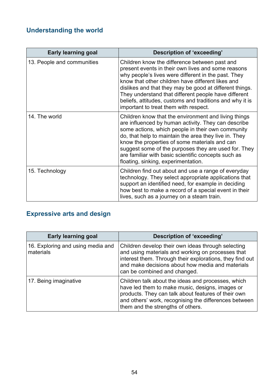# **Understanding the world**

| <b>Early learning goal</b> | <b>Description of 'exceeding'</b>                                                                                                                                                                                                                                                                                                                                                                                                       |
|----------------------------|-----------------------------------------------------------------------------------------------------------------------------------------------------------------------------------------------------------------------------------------------------------------------------------------------------------------------------------------------------------------------------------------------------------------------------------------|
| 13. People and communities | Children know the difference between past and<br>present events in their own lives and some reasons<br>why people's lives were different in the past. They<br>know that other children have different likes and<br>dislikes and that they may be good at different things.<br>They understand that different people have different<br>beliefs, attitudes, customs and traditions and why it is<br>important to treat them with respect. |
| 14. The world              | Children know that the environment and living things<br>are influenced by human activity. They can describe<br>some actions, which people in their own community<br>do, that help to maintain the area they live in. They<br>know the properties of some materials and can<br>suggest some of the purposes they are used for. They<br>are familiar with basic scientific concepts such as<br>floating, sinking, experimentation.        |
| 15. Technology             | Children find out about and use a range of everyday<br>technology. They select appropriate applications that<br>support an identified need, for example in deciding<br>how best to make a record of a special event in their<br>lives, such as a journey on a steam train.                                                                                                                                                              |

## **Expressive arts and design**

| <b>Early learning goal</b>                     | Description of 'exceeding'                                                                                                                                                                                                                                 |
|------------------------------------------------|------------------------------------------------------------------------------------------------------------------------------------------------------------------------------------------------------------------------------------------------------------|
| 16. Exploring and using media and<br>materials | Children develop their own ideas through selecting<br>and using materials and working on processes that<br>interest them. Through their explorations, they find out<br>and make decisions about how media and materials<br>can be combined and changed.    |
| 17. Being imaginative                          | Children talk about the ideas and processes, which<br>have led them to make music, designs, images or<br>products. They can talk about features of their own<br>and others' work, recognising the differences between<br>them and the strengths of others. |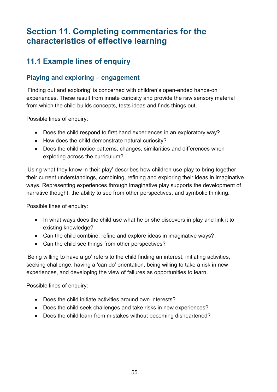# **Section 11. Completing commentaries for the characteristics of effective learning**

## **11.1 Example lines of enquiry**

#### **Playing and exploring – engagement**

'Finding out and exploring' is concerned with children's open-ended hands-on experiences. These result from innate curiosity and provide the raw sensory material from which the child builds concepts, tests ideas and finds things out.

Possible lines of enquiry:

- Does the child respond to first hand experiences in an exploratory way?
- How does the child demonstrate natural curiosity?
- Does the child notice patterns, changes, similarities and differences when exploring across the curriculum?

'Using what they know in their play' describes how children use play to bring together their current understandings, combining, refining and exploring their ideas in imaginative ways. Representing experiences through imaginative play supports the development of narrative thought, the ability to see from other perspectives, and symbolic thinking.

Possible lines of enquiry:

- In what ways does the child use what he or she discovers in play and link it to existing knowledge?
- Can the child combine, refine and explore ideas in imaginative ways?
- Can the child see things from other perspectives?

'Being willing to have a go' refers to the child finding an interest, initiating activities, seeking challenge, having a 'can do' orientation, being willing to take a risk in new experiences, and developing the view of failures as opportunities to learn.

Possible lines of enquiry:

- Does the child initiate activities around own interests?
- Does the child seek challenges and take risks in new experiences?
- Does the child learn from mistakes without becoming disheartened?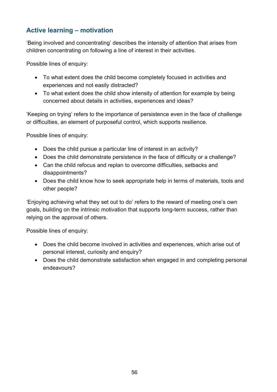#### **Active learning – motivation**

'Being involved and concentrating' describes the intensity of attention that arises from children concentrating on following a line of interest in their activities.

Possible lines of enquiry:

- To what extent does the child become completely focused in activities and experiences and not easily distracted?
- To what extent does the child show intensity of attention for example by being concerned about details in activities, experiences and ideas?

'Keeping on trying' refers to the importance of persistence even in the face of challenge or difficulties, an element of purposeful control, which supports resilience.

Possible lines of enquiry:

- Does the child pursue a particular line of interest in an activity?
- Does the child demonstrate persistence in the face of difficulty or a challenge?
- Can the child refocus and replan to overcome difficulties, setbacks and disappointments?
- Does the child know how to seek appropriate help in terms of materials, tools and other people?

'Enjoying achieving what they set out to do' refers to the reward of meeting one's own goals, building on the intrinsic motivation that supports long-term success, rather than relying on the approval of others.

Possible lines of enquiry:

- Does the child become involved in activities and experiences, which arise out of personal interest, curiosity and enquiry?
- Does the child demonstrate satisfaction when engaged in and completing personal endeavours?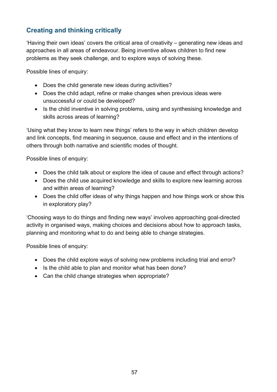#### **Creating and thinking critically**

'Having their own ideas' covers the critical area of creativity – generating new ideas and approaches in all areas of endeavour. Being inventive allows children to find new problems as they seek challenge, and to explore ways of solving these.

Possible lines of enquiry:

- Does the child generate new ideas during activities?
- Does the child adapt, refine or make changes when previous ideas were unsuccessful or could be developed?
- Is the child inventive in solving problems, using and synthesising knowledge and skills across areas of learning?

'Using what they know to learn new things' refers to the way in which children develop and link concepts, find meaning in sequence, cause and effect and in the intentions of others through both narrative and scientific modes of thought.

Possible lines of enquiry:

- Does the child talk about or explore the idea of cause and effect through actions?
- Does the child use acquired knowledge and skills to explore new learning across and within areas of learning?
- Does the child offer ideas of why things happen and how things work or show this in exploratory play?

'Choosing ways to do things and finding new ways' involves approaching goal-directed activity in organised ways, making choices and decisions about how to approach tasks, planning and monitoring what to do and being able to change strategies.

Possible lines of enquiry:

- Does the child explore ways of solving new problems including trial and error?
- Is the child able to plan and monitor what has been done?
- Can the child change strategies when appropriate?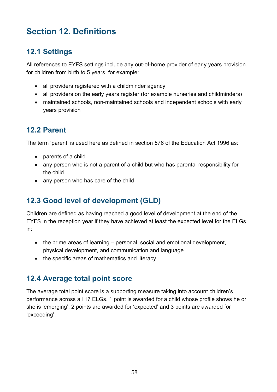# **Section 12. Definitions**

## **12.1 Settings**

All references to EYFS settings include any out-of-home provider of early years provision for children from birth to 5 years, for example:

- all providers registered with a childminder agency
- all providers on the early years register (for example nurseries and childminders)
- maintained schools, non-maintained schools and independent schools with early years provision

## **12.2 Parent**

The term 'parent' is used here as defined in section 576 of the Education Act 1996 as:

- parents of a child
- any person who is not a parent of a child but who has parental responsibility for the child
- any person who has care of the child

## **12.3 Good level of development (GLD)**

Children are defined as having reached a good level of development at the end of the EYFS in the reception year if they have achieved at least the expected level for the ELGs in:

- the prime areas of learning personal, social and emotional development, physical development, and communication and language
- the specific areas of mathematics and literacy

## **12.4 Average total point score**

The average total point score is a supporting measure taking into account children's performance across all 17 ELGs. 1 point is awarded for a child whose profile shows he or she is 'emerging', 2 points are awarded for 'expected' and 3 points are awarded for 'exceeding'.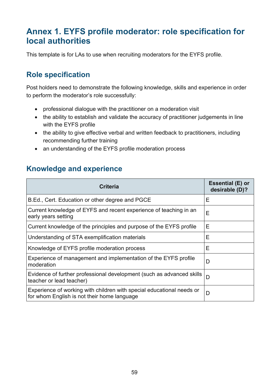# **Annex 1. EYFS profile moderator: role specification for local authorities**

This template is for LAs to use when recruiting moderators for the EYFS profile.

## **Role specification**

Post holders need to demonstrate the following knowledge, skills and experience in order to perform the moderator's role successfully:

- professional dialogue with the practitioner on a moderation visit
- the ability to establish and validate the accuracy of practitioner judgements in line with the EYFS profile
- the ability to give effective verbal and written feedback to practitioners, including recommending further training
- an understanding of the EYFS profile moderation process

## **Knowledge and experience**

| <b>Criteria</b>                                                                                                      | Essential (E) or<br>desirable (D)? |
|----------------------------------------------------------------------------------------------------------------------|------------------------------------|
| B.Ed., Cert. Education or other degree and PGCE                                                                      | E                                  |
| Current knowledge of EYFS and recent experience of teaching in an<br>early years setting                             | Е                                  |
| Current knowledge of the principles and purpose of the EYFS profile                                                  | Е                                  |
| Understanding of STA exemplification materials                                                                       | Е                                  |
| Knowledge of EYFS profile moderation process                                                                         | E                                  |
| Experience of management and implementation of the EYFS profile<br>moderation                                        | D                                  |
| Evidence of further professional development (such as advanced skills<br>teacher or lead teacher)                    | D                                  |
| Experience of working with children with special educational needs or<br>for whom English is not their home language | D                                  |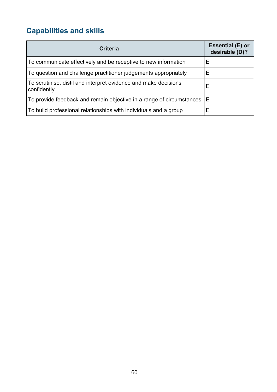# **Capabilities and skills**

| <b>Criteria</b>                                                                | <b>Essential (E) or</b><br>desirable (D)? |
|--------------------------------------------------------------------------------|-------------------------------------------|
| To communicate effectively and be receptive to new information                 | Е                                         |
| To question and challenge practitioner judgements appropriately                | Е                                         |
| To scrutinise, distil and interpret evidence and make decisions<br>confidently | Ε                                         |
| To provide feedback and remain objective in a range of circumstances           | Ε                                         |
| To build professional relationships with individuals and a group               | Е                                         |